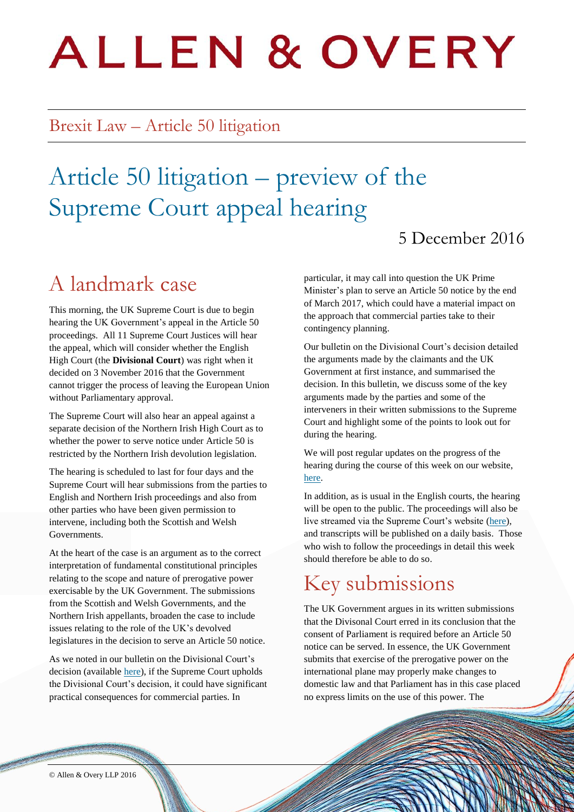# **ALLEN & OVERY**

### Brexit Law – Article 50 litigation

# Article 50 litigation – preview of the Supreme Court appeal hearing

#### 5 December 2016

# A landmark case

This morning, the UK Supreme Court is due to begin hearing the UK Government's appeal in the Article 50 proceedings. All 11 Supreme Court Justices will hear the appeal, which will consider whether the English High Court (the **Divisional Court**) was right when it decided on 3 November 2016 that the Government cannot trigger the process of leaving the European Union without Parliamentary approval.

The Supreme Court will also hear an appeal against a separate decision of the Northern Irish High Court as to whether the power to serve notice under Article 50 is restricted by the Northern Irish devolution legislation.

The hearing is scheduled to last for four days and the Supreme Court will hear submissions from the parties to English and Northern Irish proceedings and also from other parties who have been given permission to intervene, including both the Scottish and Welsh Governments.

At the heart of the case is an argument as to the correct interpretation of fundamental constitutional principles relating to the scope and nature of prerogative power exercisable by the UK Government. The submissions from the Scottish and Welsh Governments, and the Northern Irish appellants, broaden the case to include issues relating to the role of the UK's devolved legislatures in the decision to serve an Article 50 notice.

As we noted in our bulletin on the Divisional Court's decision (available [here\)](http://www.allenovery.com/Brexit-Law/Documents/Macro/AO_BrexitLaw_Article_50_Litigation_3_November_decision.pdf), if the Supreme Court upholds the Divisional Court's decision, it could have significant practical consequences for commercial parties. In

particular, it may call into question the UK Prime Minister's plan to serve an Article 50 notice by the end of March 2017, which could have a material impact on the approach that commercial parties take to their contingency planning.

Our bulletin on the Divisional Court's decision detailed the arguments made by the claimants and the UK Government at first instance, and summarised the decision. In this bulletin, we discuss some of the key arguments made by the parties and some of the interveners in their written submissions to the Supreme Court and highlight some of the points to look out for during the hearing.

We will post regular updates on the progress of the hearing during the course of this week on our website, [here.](http://www.allenovery.com/Brexit-Law/Pages/Article-50.aspx)

In addition, as is usual in the English courts, the hearing will be open to the public. The proceedings will also be live streamed via the Supreme Court's website [\(here\)](https://www.supremecourt.uk/news/access-to-supreme-court-building-article-50-brexit-case.html), and transcripts will be published on a daily basis. Those who wish to follow the proceedings in detail this week should therefore be able to do so.

# Key submissions

The UK Government argues in its written submissions that the Divisonal Court erred in its conclusion that the consent of Parliament is required before an Article 50 notice can be served. In essence, the UK Government submits that exercise of the prerogative power on the international plane may properly make changes to domestic law and that Parliament has in this case placed no express limits on the use of this power. The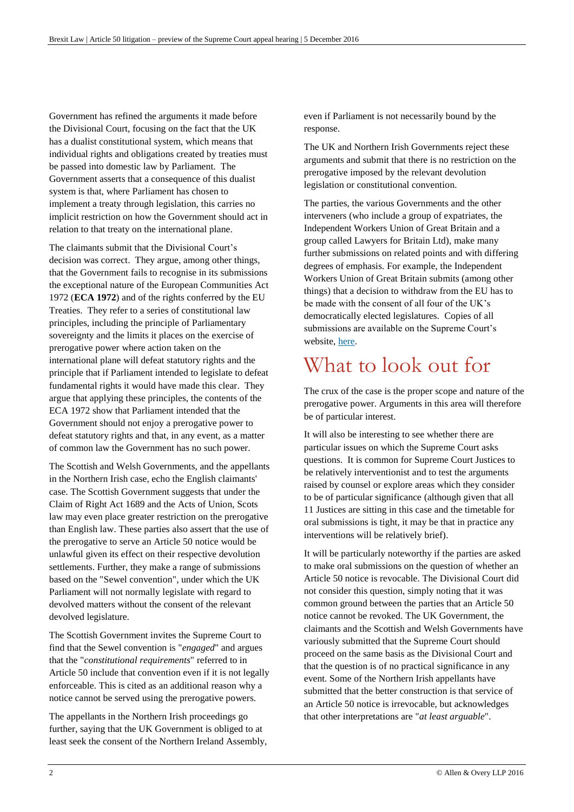Government has refined the arguments it made before the Divisional Court, focusing on the fact that the UK has a dualist constitutional system, which means that individual rights and obligations created by treaties must be passed into domestic law by Parliament. The Government asserts that a consequence of this dualist system is that, where Parliament has chosen to implement a treaty through legislation, this carries no implicit restriction on how the Government should act in relation to that treaty on the international plane.

The claimants submit that the Divisional Court's decision was correct. They argue, among other things, that the Government fails to recognise in its submissions the exceptional nature of the European Communities Act 1972 (**ECA 1972**) and of the rights conferred by the EU Treaties. They refer to a series of constitutional law principles, including the principle of Parliamentary sovereignty and the limits it places on the exercise of prerogative power where action taken on the international plane will defeat statutory rights and the principle that if Parliament intended to legislate to defeat fundamental rights it would have made this clear. They argue that applying these principles, the contents of the ECA 1972 show that Parliament intended that the Government should not enjoy a prerogative power to defeat statutory rights and that, in any event, as a matter of common law the Government has no such power.

The Scottish and Welsh Governments, and the appellants in the Northern Irish case, echo the English claimants' case. The Scottish Government suggests that under the Claim of Right Act 1689 and the Acts of Union, Scots law may even place greater restriction on the prerogative than English law. These parties also assert that the use of the prerogative to serve an Article 50 notice would be unlawful given its effect on their respective devolution settlements. Further, they make a range of submissions based on the "Sewel convention", under which the UK Parliament will not normally legislate with regard to devolved matters without the consent of the relevant devolved legislature.

The Scottish Government invites the Supreme Court to find that the Sewel convention is "*engaged*" and argues that the "*constitutional requirements*" referred to in Article 50 include that convention even if it is not legally enforceable. This is cited as an additional reason why a notice cannot be served using the prerogative powers.

The appellants in the Northern Irish proceedings go further, saying that the UK Government is obliged to at least seek the consent of the Northern Ireland Assembly, even if Parliament is not necessarily bound by the response.

The UK and Northern Irish Governments reject these arguments and submit that there is no restriction on the prerogative imposed by the relevant devolution legislation or constitutional convention.

The parties, the various Governments and the other interveners (who include a group of expatriates, the Independent Workers Union of Great Britain and a group called Lawyers for Britain Ltd), make many further submissions on related points and with differing degrees of emphasis. For example, the Independent Workers Union of Great Britain submits (among other things) that a decision to withdraw from the EU has to be made with the consent of all four of the UK's democratically elected legislatures. Copies of all submissions are available on the Supreme Court's website, [here.](https://www.supremecourt.uk/news/article-50-brexit-appeal.html)

## What to look out for

The crux of the case is the proper scope and nature of the prerogative power. Arguments in this area will therefore be of particular interest.

It will also be interesting to see whether there are particular issues on which the Supreme Court asks questions. It is common for Supreme Court Justices to be relatively interventionist and to test the arguments raised by counsel or explore areas which they consider to be of particular significance (although given that all 11 Justices are sitting in this case and the timetable for oral submissions is tight, it may be that in practice any interventions will be relatively brief).

It will be particularly noteworthy if the parties are asked to make oral submissions on the question of whether an Article 50 notice is revocable. The Divisional Court did not consider this question, simply noting that it was common ground between the parties that an Article 50 notice cannot be revoked. The UK Government, the claimants and the Scottish and Welsh Governments have variously submitted that the Supreme Court should proceed on the same basis as the Divisional Court and that the question is of no practical significance in any event. Some of the Northern Irish appellants have submitted that the better construction is that service of an Article 50 notice is irrevocable, but acknowledges that other interpretations are "*at least arguable*".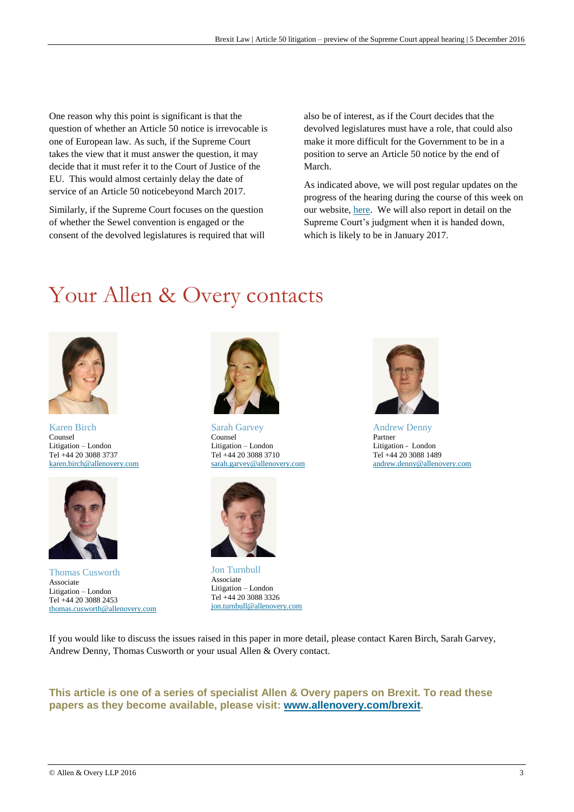One reason why this point is significant is that the question of whether an Article 50 notice is irrevocable is one of European law. As such, if the Supreme Court takes the view that it must answer the question, it may decide that it must refer it to the Court of Justice of the EU. This would almost certainly delay the date of service of an Article 50 noticebeyond March 2017.

Similarly, if the Supreme Court focuses on the question of whether the Sewel convention is engaged or the consent of the devolved legislatures is required that will also be of interest, as if the Court decides that the devolved legislatures must have a role, that could also make it more difficult for the Government to be in a position to serve an Article 50 notice by the end of March.

As indicated above, we will post regular updates on the progress of the hearing during the course of this week on our website[, here.](http://www.allenovery.com/Brexit-Law/Pages/Article-50.aspx) We will also report in detail on the Supreme Court's judgment when it is handed down, which is likely to be in January 2017.

# Your Allen & Overy contacts



Karen Birch Counsel Litigation – London Tel +44 20 3088 3737 [karen.birch@allenovery.com](mailto:karen.birch@allenovery.com)



Thomas Cusworth Associate Litigation – London Tel +44 20 3088 2453 [thomas.cusworth@allenovery.com](mailto:thomas.cusworth@allenovery.com)



Sarah Garvey Counsel Litigation – London Tel +44 20 3088 3710 [sarah.garvey@allenovery.com](mailto:sarah.garvey@allenovery.com)



Jon Turnbull Associate Litigation – London Tel +44 20 3088 3326 [jon.turnbull@allenovery.com](mailto:jon.turnbull@allenovery.com)



Andrew Denny Partner Litigation - London Tel +44 20 3088 1489 [andrew.denny@allenovery.com](mailto:andrew.denny@allenovery.com)

If you would like to discuss the issues raised in this paper in more detail, please contact Karen Birch, Sarah Garvey, Andrew Denny, Thomas Cusworth or your usual Allen & Overy contact.

#### **This article is one of a series of specialist Allen & Overy papers on Brexit. To read these papers as they become available, please visit: [www.allenovery.com/brexit.](http://www.allenovery.com/brexit)**